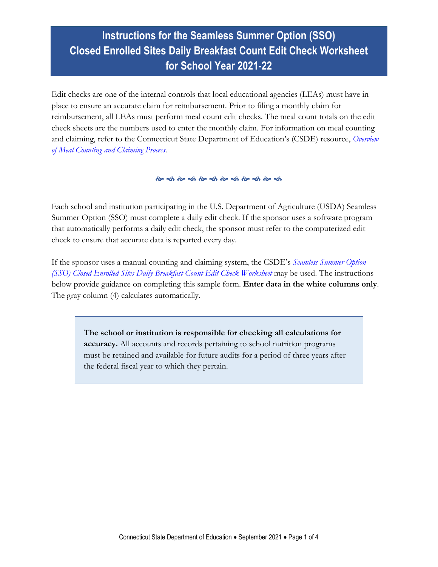# **Instructions for the Seamless Summer Option (SSO) Closed Enrolled Sites Daily Breakfast Count Edit Check Worksheet for School Year 2021-22**

Edit checks are one of the internal controls that local educational agencies (LEAs) must have in place to ensure an accurate claim for reimbursement. Prior to filing a monthly claim for reimbursement, all LEAs must perform meal count edit checks. The meal count totals on the edit check sheets are the numbers used to enter the monthly claim. For information on meal counting and claiming, refer to the Connecticut State Department of Education's (CSDE) resource, *[Overview](https://portal.ct.gov/-/media/SDE/Nutrition/NSLP/Forms/MealCount/Overview_Meal_Counting_Claiming_SNP.pdf)  [of Meal Counting and Claiming Process.](https://portal.ct.gov/-/media/SDE/Nutrition/NSLP/Forms/MealCount/Overview_Meal_Counting_Claiming_SNP.pdf)*

Each school and institution participating in the U.S. Department of Agriculture (USDA) Seamless Summer Option (SSO) must complete a daily edit check. If the sponsor uses a software program that automatically performs a daily edit check, the sponsor must refer to the computerized edit check to ensure that accurate data is reported every day.

If the sponsor uses a manual counting and claiming system, the CSDE's *[Seamless Summer Option](https://portal.ct.gov/-/media/SDE/Nutrition/NSLP/Forms/MealCount/Edit_Check_Worksheet_Breakfast_SSO.xlsx)  [\(SSO\) Closed Enrolled Sites Daily Breakfast](https://portal.ct.gov/-/media/SDE/Nutrition/NSLP/Forms/MealCount/Edit_Check_Worksheet_Breakfast_SSO.xlsx) Count Edit Check Worksheet* may be used. The instructions below provide guidance on completing this sample form. **Enter data in the white columns only**. The gray column (4) calculates automatically.

**The school or institution is responsible for checking all calculations for accuracy.** All accounts and records pertaining to school nutrition programs must be retained and available for future audits for a period of three years after the federal fiscal year to which they pertain.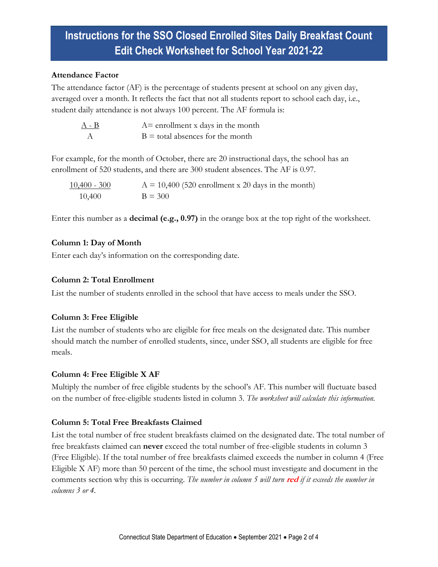## **Instructions for the SSO Closed Enrolled Sites Daily Breakfast Count Edit Check Worksheet for School Year 2021-22**

#### **Attendance Factor**

The attendance factor (AF) is the percentage of students present at school on any given day, averaged over a month. It reflects the fact that not all students report to school each day, i.e., student daily attendance is not always 100 percent. The AF formula is:

| $A - B$ | $A =$ enrollment x days in the month |
|---------|--------------------------------------|
|         | $B =$ total absences for the month   |

For example, for the month of October, there are 20 instructional days, the school has an enrollment of 520 students, and there are 300 student absences. The AF is 0.97.

| $10,400 - 300$ | $A = 10,400$ (520 enrollment x 20 days in the month) |
|----------------|------------------------------------------------------|
| 10,400         | $B = 300$                                            |

Enter this number as a **decimal (e.g., 0.97)** in the orange box at the top right of the worksheet.

## **Column 1: Day of Month**

Enter each day's information on the corresponding date.

## **Column 2: Total Enrollment**

List the number of students enrolled in the school that have access to meals under the SSO.

### **Column 3: Free Eligible**

List the number of students who are eligible for free meals on the designated date. This number should match the number of enrolled students, since, under SSO, all students are eligible for free meals.

### **Column 4: Free Eligible X AF**

Multiply the number of free eligible students by the school's AF. This number will fluctuate based on the number of free-eligible students listed in column 3. *The worksheet will calculate this information.*

### **Column 5: Total Free Breakfasts Claimed**

List the total number of free student breakfasts claimed on the designated date. The total number of free breakfasts claimed can **never** exceed the total number of free-eligible students in column 3 (Free Eligible). If the total number of free breakfasts claimed exceeds the number in column 4 (Free Eligible X AF) more than 50 percent of the time, the school must investigate and document in the comments section why this is occurring. *The number in column 5 will turn* **red** *if it exceeds the number in columns 3 or 4.*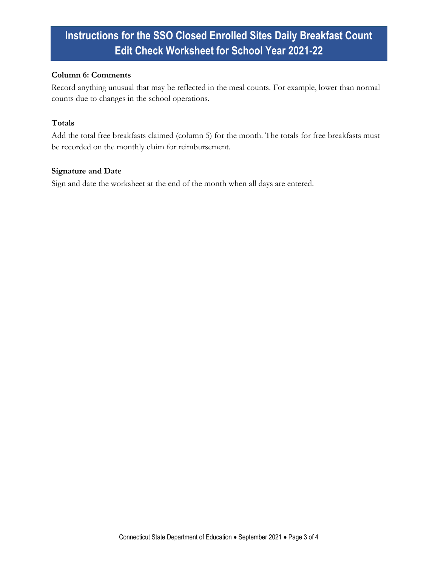# **Instructions for the SSO Closed Enrolled Sites Daily Breakfast Count Edit Check Worksheet for School Year 2021-22**

#### **Column 6: Comments**

Record anything unusual that may be reflected in the meal counts. For example, lower than normal counts due to changes in the school operations.

#### **Totals**

Add the total free breakfasts claimed (column 5) for the month. The totals for free breakfasts must be recorded on the monthly claim for reimbursement.

#### **Signature and Date**

Sign and date the worksheet at the end of the month when all days are entered.